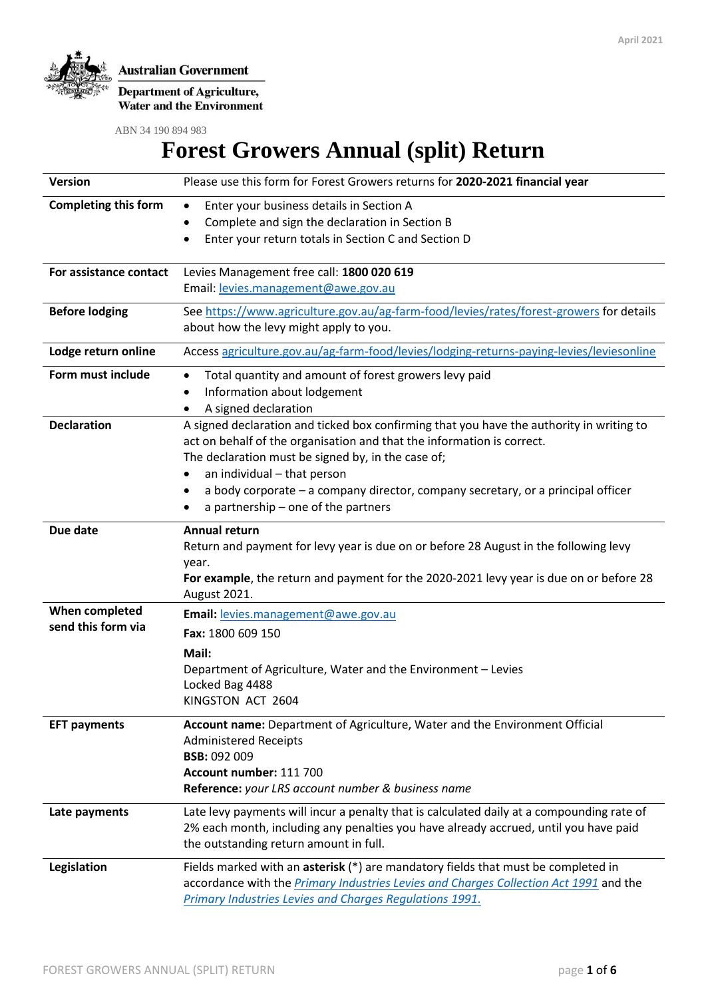

**Department of Agriculture,**<br>Water and the Environment

ABN 34 190 894 983

# **Forest Growers Annual (split) Return**

| <b>Version</b>              | Please use this form for Forest Growers returns for 2020-2021 financial year                                                                                       |
|-----------------------------|--------------------------------------------------------------------------------------------------------------------------------------------------------------------|
| <b>Completing this form</b> | Enter your business details in Section A<br>$\bullet$                                                                                                              |
|                             | Complete and sign the declaration in Section B                                                                                                                     |
|                             | Enter your return totals in Section C and Section D                                                                                                                |
| For assistance contact      | Levies Management free call: 1800 020 619                                                                                                                          |
|                             | Email: levies.management@awe.gov.au                                                                                                                                |
| <b>Before lodging</b>       | See https://www.agriculture.gov.au/ag-farm-food/levies/rates/forest-growers for details                                                                            |
|                             | about how the levy might apply to you.                                                                                                                             |
| Lodge return online         | Access agriculture.gov.au/ag-farm-food/levies/lodging-returns-paying-levies/leviesonline                                                                           |
| Form must include           | Total quantity and amount of forest growers levy paid<br>٠                                                                                                         |
|                             | Information about lodgement<br>٠                                                                                                                                   |
|                             | A signed declaration                                                                                                                                               |
| <b>Declaration</b>          | A signed declaration and ticked box confirming that you have the authority in writing to<br>act on behalf of the organisation and that the information is correct. |
|                             | The declaration must be signed by, in the case of;                                                                                                                 |
|                             | an individual - that person                                                                                                                                        |
|                             | a body corporate – a company director, company secretary, or a principal officer                                                                                   |
|                             | a partnership - one of the partners                                                                                                                                |
| Due date                    | Annual return                                                                                                                                                      |
|                             | Return and payment for levy year is due on or before 28 August in the following levy                                                                               |
|                             | year.                                                                                                                                                              |
|                             | For example, the return and payment for the 2020-2021 levy year is due on or before 28<br>August 2021.                                                             |
| When completed              | Email: levies.management@awe.gov.au                                                                                                                                |
| send this form via          | Fax: 1800 609 150                                                                                                                                                  |
|                             | Mail:                                                                                                                                                              |
|                             | Department of Agriculture, Water and the Environment - Levies                                                                                                      |
|                             | Locked Bag 4488                                                                                                                                                    |
|                             | KINGSTON ACT 2604                                                                                                                                                  |
| <b>EFT payments</b>         | Account name: Department of Agriculture, Water and the Environment Official                                                                                        |
|                             | <b>Administered Receipts</b>                                                                                                                                       |
|                             | <b>BSB: 092 009</b>                                                                                                                                                |
|                             | Account number: 111 700                                                                                                                                            |
|                             | Reference: your LRS account number & business name                                                                                                                 |
| Late payments               | Late levy payments will incur a penalty that is calculated daily at a compounding rate of                                                                          |
|                             | 2% each month, including any penalties you have already accrued, until you have paid                                                                               |
|                             | the outstanding return amount in full.                                                                                                                             |
| Legislation                 | Fields marked with an asterisk (*) are mandatory fields that must be completed in                                                                                  |
|                             | accordance with the <i>Primary Industries Levies and Charges Collection Act 1991</i> and the                                                                       |
|                             | Primary Industries Levies and Charges Regulations 1991.                                                                                                            |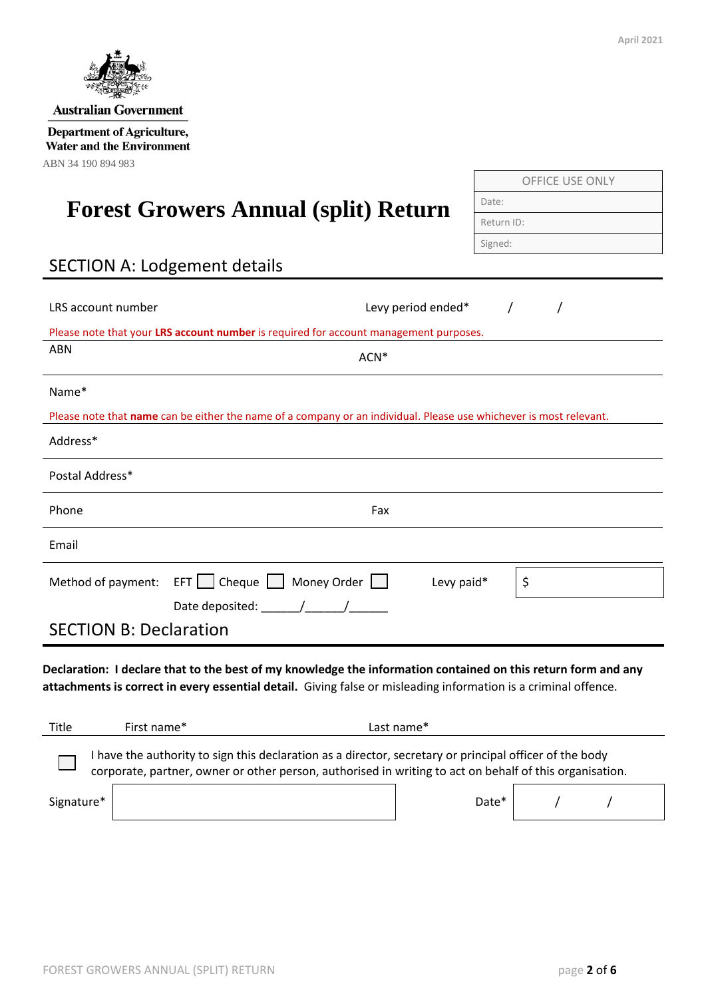| <b>Australian Government</b>                                                                                                                                                                                                     |                    |            |                 |
|----------------------------------------------------------------------------------------------------------------------------------------------------------------------------------------------------------------------------------|--------------------|------------|-----------------|
| <b>Department of Agriculture,</b><br><b>Water and the Environment</b><br>ABN 34 190 894 983                                                                                                                                      |                    |            |                 |
|                                                                                                                                                                                                                                  |                    |            | OFFICE USE ONLY |
| <b>Forest Growers Annual (split) Return</b>                                                                                                                                                                                      |                    | Date:      |                 |
|                                                                                                                                                                                                                                  |                    | Return ID: |                 |
| <b>SECTION A: Lodgement details</b>                                                                                                                                                                                              |                    | Signed:    |                 |
| LRS account number                                                                                                                                                                                                               | Levy period ended* |            | $\prime$        |
| Please note that your LRS account number is required for account management purposes.<br><b>ABN</b>                                                                                                                              |                    |            |                 |
|                                                                                                                                                                                                                                  | ACN*               |            |                 |
| Name*<br>Please note that name can be either the name of a company or an individual. Please use whichever is most relevant.                                                                                                      |                    |            |                 |
| Address*                                                                                                                                                                                                                         |                    |            |                 |
| Postal Address*                                                                                                                                                                                                                  |                    |            |                 |
| Phone                                                                                                                                                                                                                            | Fax                |            |                 |
| Email                                                                                                                                                                                                                            |                    |            |                 |
| $EFT$ $\Box$ Cheque $\Box$ Money Order $\Box$<br>Method of payment:                                                                                                                                                              |                    | Levy paid* | \$              |
| Date deposited: $\frac{1}{\sqrt{2\pi}}$<br><b>SECTION B: Declaration</b>                                                                                                                                                         |                    |            |                 |
| Declaration: I declare that to the best of my knowledge the information contained on this return form and any<br>attachments is correct in every essential detail. Giving false or misleading information is a criminal offence. |                    |            |                 |
| First name*<br>Title                                                                                                                                                                                                             | Last name*         |            |                 |

| Title | First name* | Last name*                                                                                                                                                                                                      |  |
|-------|-------------|-----------------------------------------------------------------------------------------------------------------------------------------------------------------------------------------------------------------|--|
|       |             | I have the authority to sign this declaration as a director, secretary or principal officer of the body corporate, partner, owner or other person, authorised in writing to act on behalf of this organisation. |  |
|       |             |                                                                                                                                                                                                                 |  |

Signature\*  $\vert$  /  $\vert$  /  $\vert$  /  $\vert$  /  $\vert$  /  $\vert$  /  $\vert$  /  $\vert$  /  $\vert$  /  $\vert$  /  $\vert$  /  $\vert$  /  $\vert$  /  $\vert$  /  $\vert$  /  $\vert$  /  $\vert$  /  $\vert$  /  $\vert$  /  $\vert$  /  $\vert$  /  $\vert$  /  $\vert$  /  $\vert$  /  $\vert$  /  $\vert$  /  $\vert$  /  $\vert$  /  $\vert$  /  $\vert$  /

| - 41<br>. т |  |  |
|-------------|--|--|
|             |  |  |

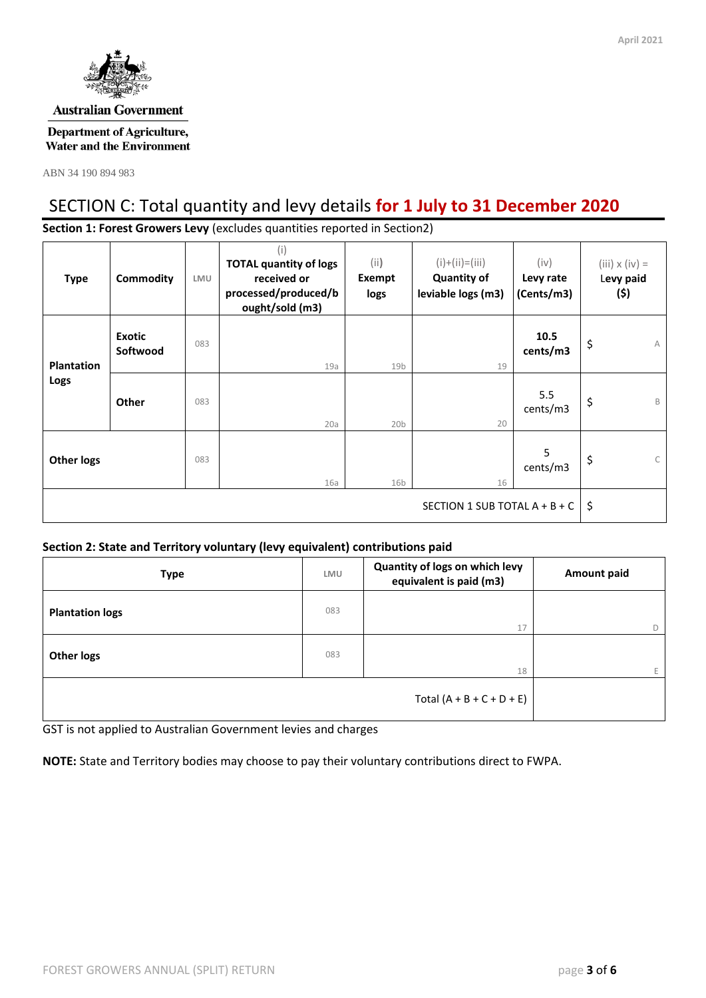

#### **Australian Government**

#### **Department of Agriculture, Water and the Environment**

ABN 34 190 894 983

# SECTION C: Total quantity and levy details **for 1 July to 31 December 2020**

**Section 1: Forest Growers Levy** (excludes quantities reported in Section2)

| <b>Type</b>                     | Commodity                 | LMU | (i)<br><b>TOTAL quantity of logs</b><br>received or<br>processed/produced/b<br>ought/sold (m3) | (i)<br>Exempt<br>logs | $(i)+(ii)=(iii)$<br><b>Quantity of</b><br>leviable logs (m3) | (iv)<br>Levy rate<br>(Cents/m3) | $(iii) \times (iv) =$<br>Levy paid<br>(\$) |
|---------------------------------|---------------------------|-----|------------------------------------------------------------------------------------------------|-----------------------|--------------------------------------------------------------|---------------------------------|--------------------------------------------|
| <b>Plantation</b>               | <b>Exotic</b><br>Softwood | 083 | 19a                                                                                            | 19 <sub>b</sub>       | 19                                                           | 10.5<br>cents/m3                | \$<br>A                                    |
| Logs                            | Other                     | 083 | 20a                                                                                            | 20 <sub>b</sub>       | 20                                                           | 5.5<br>cents/m3                 | \$<br>B                                    |
| <b>Other logs</b>               |                           | 083 | 16a                                                                                            | 16 <sub>b</sub>       | 16                                                           | 5<br>cents/m3                   | \$<br>$\mathsf{C}$                         |
| SECTION 1 SUB TOTAL $A + B + C$ |                           |     |                                                                                                |                       |                                                              | \$                              |                                            |

#### **Section 2: State and Territory voluntary (levy equivalent) contributions paid**

| <b>Type</b>            | LMU | Quantity of logs on which levy<br>equivalent is paid (m3) | <b>Amount paid</b> |  |
|------------------------|-----|-----------------------------------------------------------|--------------------|--|
| <b>Plantation logs</b> | 083 | 17                                                        | D                  |  |
| <b>Other logs</b>      | 083 | 18                                                        | E.                 |  |
|                        |     | Total $(A + B + C + D + E)$                               |                    |  |

GST is not applied to Australian Government levies and charges

**NOTE:** State and Territory bodies may choose to pay their voluntary contributions direct to FWPA.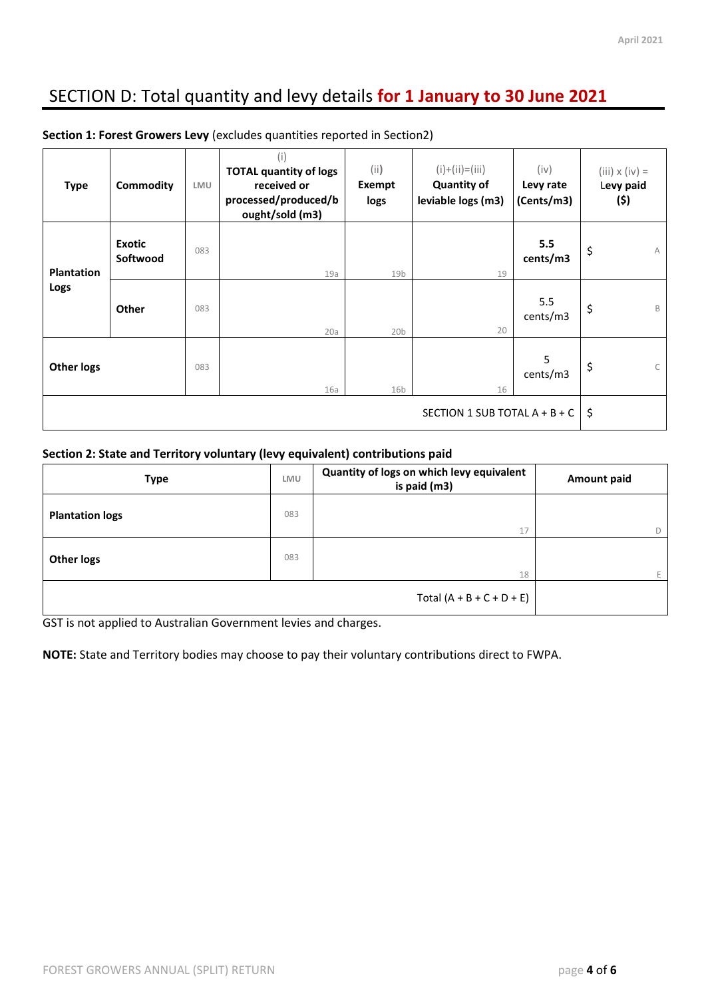# SECTION D: Total quantity and levy details **for 1 January to 30 June 2021**

| <b>Type</b>                   | Commodity                 | LMU | (i)<br><b>TOTAL quantity of logs</b><br>received or<br>processed/produced/b<br>ought/sold (m3) | (i)<br>Exempt<br>logs | $(i)+(ii)=(iii)$<br><b>Quantity of</b><br>leviable logs (m3) | (iv)<br>Levy rate<br>(Cents/m3) | $(iii) \times (iv) =$<br>Levy paid<br>(\$) |
|-------------------------------|---------------------------|-----|------------------------------------------------------------------------------------------------|-----------------------|--------------------------------------------------------------|---------------------------------|--------------------------------------------|
| <b>Plantation</b>             | <b>Exotic</b><br>Softwood | 083 | 19a                                                                                            | 19 <sub>b</sub>       | 19                                                           | 5.5<br>cents/m3                 | \$<br>A                                    |
| Logs                          | Other                     | 083 | 20a                                                                                            | 20 <sub>b</sub>       | 20                                                           | 5.5<br>cents/m3                 | \$<br>B                                    |
| <b>Other logs</b>             |                           | 083 | 16a                                                                                            | 16 <sub>b</sub>       | 16                                                           | 5<br>cents/m3                   | \$                                         |
| SECTION 1 SUB TOTAL A + B + C |                           |     |                                                                                                |                       | \$                                                           |                                 |                                            |

**Section 1: Forest Growers Levy** (excludes quantities reported in Section2)

#### **Section 2: State and Territory voluntary (levy equivalent) contributions paid**

| <b>Type</b>                 |     | Quantity of logs on which levy equivalent<br>is paid (m3) | Amount paid |  |
|-----------------------------|-----|-----------------------------------------------------------|-------------|--|
| <b>Plantation logs</b>      | 083 |                                                           |             |  |
|                             |     | 17                                                        | D           |  |
| <b>Other logs</b>           | 083 | 18                                                        |             |  |
| Total $(A + B + C + D + E)$ |     |                                                           |             |  |

GST is not applied to Australian Government levies and charges.

**NOTE:** State and Territory bodies may choose to pay their voluntary contributions direct to FWPA.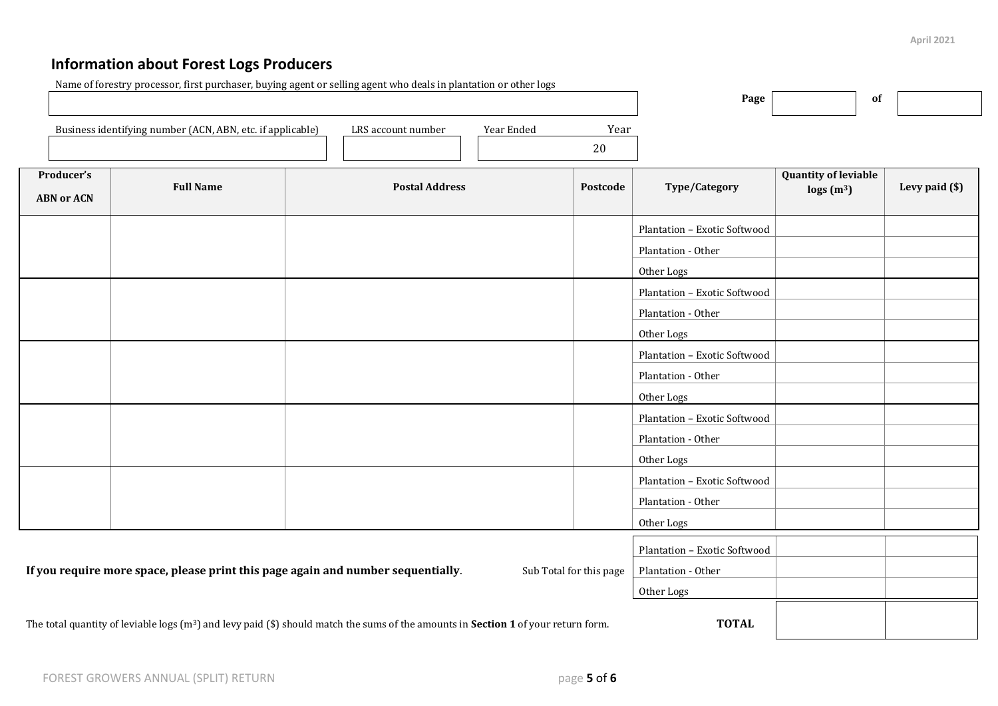# **Information about Forest Logs Producers**

|                                 |                                                            | Name of forestry processor, first purchaser, buying agent or selling agent who deals in plantation or other logs                             |                         | Page                         | 0f                                                        |                |
|---------------------------------|------------------------------------------------------------|----------------------------------------------------------------------------------------------------------------------------------------------|-------------------------|------------------------------|-----------------------------------------------------------|----------------|
|                                 | Business identifying number (ACN, ABN, etc. if applicable) | Year                                                                                                                                         |                         |                              |                                                           |                |
| Producer's<br><b>ABN or ACN</b> | <b>Full Name</b>                                           | <b>Postal Address</b>                                                                                                                        | Postcode                | Type/Category                | <b>Quantity of leviable</b><br>$\log s$ (m <sup>3</sup> ) | Levy paid (\$) |
|                                 |                                                            |                                                                                                                                              |                         | Plantation - Exotic Softwood |                                                           |                |
|                                 |                                                            |                                                                                                                                              |                         | Plantation - Other           |                                                           |                |
|                                 |                                                            |                                                                                                                                              |                         | Other Logs                   |                                                           |                |
|                                 |                                                            |                                                                                                                                              |                         | Plantation - Exotic Softwood |                                                           |                |
|                                 |                                                            |                                                                                                                                              |                         | Plantation - Other           |                                                           |                |
|                                 |                                                            |                                                                                                                                              |                         | Other Logs                   |                                                           |                |
|                                 |                                                            |                                                                                                                                              |                         | Plantation - Exotic Softwood |                                                           |                |
|                                 |                                                            |                                                                                                                                              |                         | Plantation - Other           |                                                           |                |
|                                 |                                                            |                                                                                                                                              |                         | Other Logs                   |                                                           |                |
|                                 |                                                            |                                                                                                                                              |                         | Plantation - Exotic Softwood |                                                           |                |
|                                 |                                                            |                                                                                                                                              |                         | Plantation - Other           |                                                           |                |
|                                 |                                                            |                                                                                                                                              |                         | Other Logs                   |                                                           |                |
|                                 |                                                            |                                                                                                                                              |                         | Plantation - Exotic Softwood |                                                           |                |
|                                 |                                                            |                                                                                                                                              |                         | Plantation - Other           |                                                           |                |
|                                 |                                                            |                                                                                                                                              |                         | Other Logs                   |                                                           |                |
|                                 |                                                            |                                                                                                                                              |                         | Plantation - Exotic Softwood |                                                           |                |
|                                 |                                                            | If you require more space, please print this page again and number sequentially.                                                             | Sub Total for this page | Plantation - Other           |                                                           |                |
|                                 |                                                            |                                                                                                                                              |                         | Other Logs                   |                                                           |                |
|                                 |                                                            | The total quantity of leviable logs $(m^3)$ and levy paid (\$) should match the sums of the amounts in <b>Section 1</b> of your return form. |                         | <b>TOTAL</b>                 |                                                           |                |